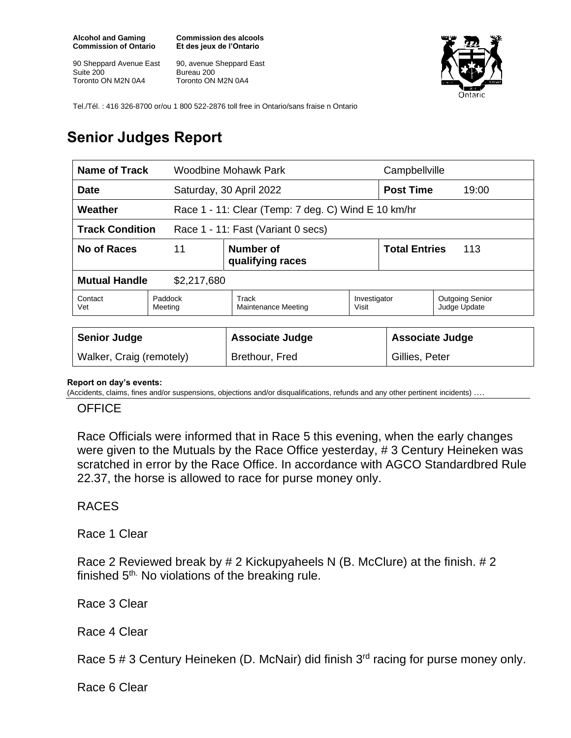**Alcohol and Gaming Commission of Ontario**

90 Sheppard Avenue East Suite 200 Toronto ON M2N 0A4

**Commission des alcools Et des jeux de l'Ontario**

90, avenue Sheppard East Bureau 200 Toronto ON M2N 0A4



Tel./Tél. : 416 326-8700 or/ou 1 800 522-2876 toll free in Ontario/sans fraise n Ontario

## **Senior Judges Report**

| <b>Post Time</b><br>19:00<br>Race 1 - 11: Clear (Temp: 7 deg. C) Wind E 10 km/hr |  |
|----------------------------------------------------------------------------------|--|
|                                                                                  |  |
|                                                                                  |  |
|                                                                                  |  |
| <b>Total Entries</b><br>113                                                      |  |
|                                                                                  |  |
| <b>Outgoing Senior</b><br>Investigator<br>Judge Update                           |  |
| <b>Associate Judge</b><br>Gillies, Peter                                         |  |
|                                                                                  |  |

## **Report on day's events:**

(Accidents, claims, fines and/or suspensions, objections and/or disqualifications, refunds and any other pertinent incidents) ….

## **OFFICE**

Race Officials were informed that in Race 5 this evening, when the early changes were given to the Mutuals by the Race Office yesterday, # 3 Century Heineken was scratched in error by the Race Office. In accordance with AGCO Standardbred Rule 22.37, the horse is allowed to race for purse money only.

## RACES

Race 1 Clear

Race 2 Reviewed break by # 2 Kickupyaheels N (B. McClure) at the finish. # 2 finished 5<sup>th.</sup> No violations of the breaking rule.

Race 3 Clear

Race 4 Clear

Race 5  $\#$  3 Century Heineken (D. McNair) did finish  $3<sup>rd</sup>$  racing for purse money only.

Race 6 Clear